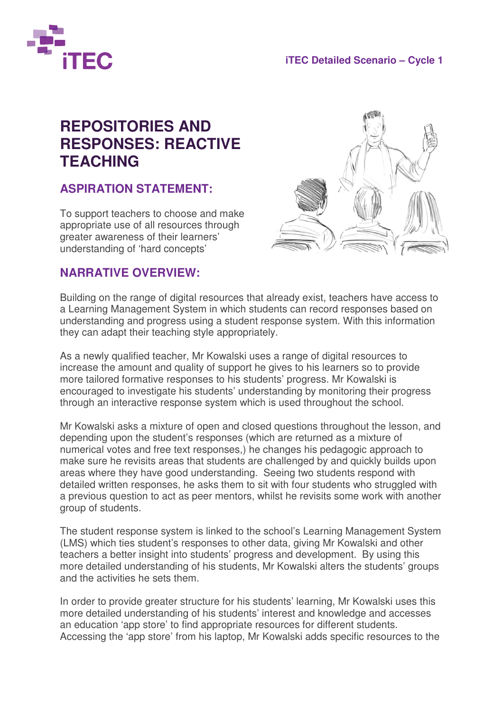

## **REPOSITORIES AND RESPONSES: REACTIVE TEACHING**

## **ASPIRATION STATEMENT:**

To support teachers to choose and make appropriate use of all resources through greater awareness of their learners' understanding of 'hard concepts'



## **NARRATIVE OVERVIEW:**

Building on the range of digital resources that already exist, teachers have access to a Learning Management System in which students can record responses based on understanding and progress using a student response system. With this information they can adapt their teaching style appropriately.

As a newly qualified teacher, Mr Kowalski uses a range of digital resources to increase the amount and quality of support he gives to his learners so to provide more tailored formative responses to his students' progress. Mr Kowalski is encouraged to investigate his students' understanding by monitoring their progress through an interactive response system which is used throughout the school.

Mr Kowalski asks a mixture of open and closed questions throughout the lesson, and depending upon the student's responses (which are returned as a mixture of numerical votes and free text responses,) he changes his pedagogic approach to make sure he revisits areas that students are challenged by and quickly builds upon areas where they have good understanding. Seeing two students respond with detailed written responses, he asks them to sit with four students who struggled with a previous question to act as peer mentors, whilst he revisits some work with another group of students.

The student response system is linked to the school's Learning Management System (LMS) which ties student's responses to other data, giving Mr Kowalski and other teachers a better insight into students' progress and development. By using this more detailed understanding of his students, Mr Kowalski alters the students' groups and the activities he sets them.

In order to provide greater structure for his students' learning, Mr Kowalski uses this more detailed understanding of his students' interest and knowledge and accesses an education 'app store' to find appropriate resources for different students. Accessing the 'app store' from his laptop, Mr Kowalski adds specific resources to the